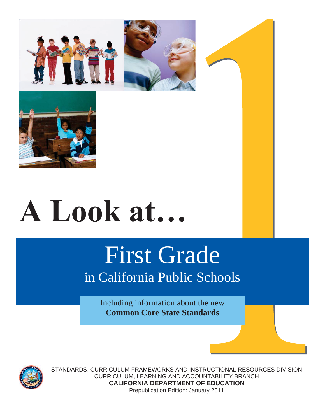



# **A Look at…**

# First Grade

# in California Public Schools

Including information about the new **Common Core State Standards**



STANDARDS, CURRICULUM FRAMEWORKS AND INSTRUCTIONAL RESOURCES DIVISION CURRICULUM, LEARNING AND ACCOUNTABILITY BRANCH **CALIFORNIA DEPARTMENT OF EDUCATION**  Prepublication Edition: January 2011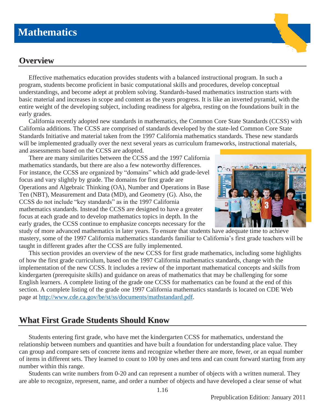# **Mathematics**

### **Overview**

Effective mathematics education provides students with a balanced instructional program. In such a program, students become proficient in basic computational skills and procedures, develop conceptual understandings, and become adept at problem solving. Standards-based mathematics instruction starts with basic material and increases in scope and content as the years progress. It is like an inverted pyramid, with the entire weight of the developing subject, including readiness for algebra, resting on the foundations built in the early grades.

California recently adopted new standards in mathematics, the Common Core State Standards (CCSS) with California additions. The CCSS are comprised of standards developed by the state-led Common Core State Standards Initiative and material taken from the 1997 California mathematics standards. These new standards will be implemented gradually over the next several years as curriculum frameworks, instructional materials, and assessments based on the CCSS are adopted.

There are many similarities between the CCSS and the 1997 California mathematics standards, but there are also a few noteworthy differences. For instance, the CCSS are organized by "domains" which add grade-level focus and vary slightly by grade. The domains for first grade are Operations and Algebraic Thinking (OA), Number and Operations in Base Ten (NBT), Measurement and Data (MD), and Geometry (G). Also, the CCSS do not include "key standards" as in the 1997 California mathematics standards. Instead the CCSS are designed to have a greater focus at each grade and to develop mathematics topics in depth. In the early grades, the CCSS continue to emphasize concepts necessary for the



study of more advanced mathematics in later years. To ensure that students have adequate time to achieve mastery, some of the 1997 California mathematics standards familiar to California's first grade teachers will be taught in different grades after the CCSS are fully implemented.

This section provides an overview of the new CCSS for first grade mathematics, including some highlights of how the first grade curriculum, based on the 1997 California mathematics standards, change with the implementation of the new CCSS. It includes a review of the important mathematical concepts and skills from kindergarten (prerequisite skills) and guidance on areas of mathematics that may be challenging for some English learners. A complete listing of the grade one CCSS for mathematics can be found at the end of this section. A complete listing of the grade one 1997 California mathematics standards is located on CDE Web page at http://www.cde.ca.gov/be/st/ss/documents/mathstandard.pdf.

# **What First Grade Students Should Know**

Students entering first grade, who have met the kindergarten CCSS for mathematics, understand the relationship between numbers and quantities and have built a foundation for understanding place value. They can group and compare sets of concrete items and recognize whether there are more, fewer, or an equal number of items in different sets. They learned to count to 100 by ones and tens and can count forward starting from any number within this range.

Students can write numbers from 0-20 and can represent a number of objects with a written numeral. They are able to recognize, represent, name, and order a number of objects and have developed a clear sense of what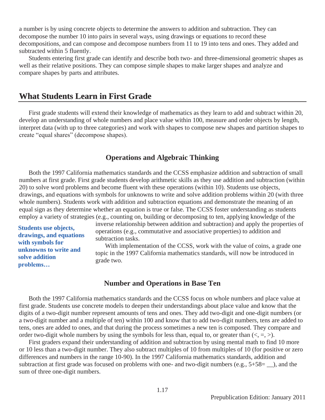a number is by using concrete objects to determine the answers to addition and subtraction. They can decompose the number 10 into pairs in several ways, using drawings or equations to record these decompositions, and can compose and decompose numbers from 11 to 19 into tens and ones. They added and subtracted within 5 fluently.

Students entering first grade can identify and describe both two- and three-dimensional geometric shapes as well as their relative positions. They can compose simple shapes to make larger shapes and analyze and compare shapes by parts and attributes.

#### **What Students Learn in First Grade**

First grade students will extend their knowledge of mathematics as they learn to add and subtract within 20, develop an understanding of whole numbers and place value within 100, measure and order objects by length, interpret data (with up to three categories) and work with shapes to compose new shapes and partition shapes to create "equal shares" (decompose shapes).

#### **Operations and Algebraic Thinking**

Both the 1997 California mathematics standards and the CCSS emphasize addition and subtraction of small numbers at first grade. First grade students develop arithmetic skills as they use addition and subtraction (within 20) to solve word problems and become fluent with these operations (within 10). Students use objects, drawings, and equations with symbols for unknowns to write and solve addition problems within 20 (with three whole numbers). Students work with addition and subtraction equations and demonstrate the meaning of an equal sign as they determine whether an equation is true or false. The CCSS foster understanding as students employ a variety of strategies (e.g., counting on, building or decomposing to ten, applying knowledge of the

**Students use objects, drawings, and equations with symbols for unknowns to write and solve addition problems…**

inverse relationship between addition and subtraction) and apply the properties of operations (e.g., commutative and associative properties) to addition and subtraction tasks.

With implementation of the CCSS*,* work with the value of coins, a grade one topic in the 1997 California mathematics standards, will now be introduced in grade two.

#### **Number and Operations in Base Ten**

Both the 1997 California mathematics standards and the CCSS focus on whole numbers and place value at first grade. Students use concrete models to deepen their understandings about place value and know that the digits of a two-digit number represent amounts of tens and ones. They add two-digit and one-digit numbers (or a two-digit number and a multiple of ten) within 100 and know that to add two-digit numbers, tens are added to tens, ones are added to ones, and that during the process sometimes a new ten is composed. They compare and order two-digit whole numbers by using the symbols for less than, equal to, or greater than  $\langle \langle , =, \rangle$ ).

First graders expand their understanding of addition and subtraction by using mental math to find 10 more or 10 less than a two-digit number. They also subtract multiples of 10 from multiples of 10 (for positive or zero differences and numbers in the range 10-90). In the 1997 California mathematics standards, addition and subtraction at first grade was focused on problems with one- and two-digit numbers (e.g., 5+58= \_\_), and the sum of three one-digit numbers.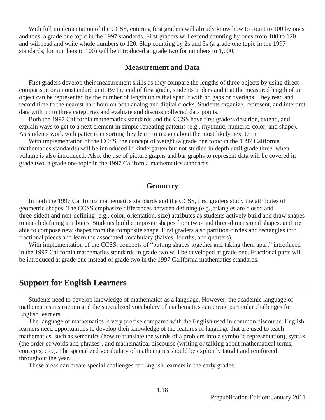With full implementation of the CCSS, entering first graders will already know how to count to 100 by ones and tens, a grade one topic in the 1997 standards. First graders will extend counting by ones from 100 to 120 and will read and write whole numbers to 120. Skip counting by 2s and 5s (a grade one topic in the 1997 standards, for numbers to 100) will be introduced at grade two for numbers to 1,000.

#### **Measurement and Data**

First graders develop their measurement skills as they compare the lengths of three objects by using direct comparison or a nonstandard unit. By the end of first grade, students understand that the measured length of an object can be represented by the number of length units that span it with no gaps or overlaps. They read and record time to the nearest half hour on both analog and digital clocks. Students organize, represent, and interpret data with up to three categories and evaluate and discuss collected data points.

Both the 1997 California mathematics standards and the CCSS have first graders describe, extend, and explain ways to get to a next element in simple repeating patterns (e.g., rhythmic, numeric, color, and shape). As students work with patterns in sorting they learn to reason about the most likely next term.

With implementation of the CCSS, the concept of weight (a grade one topic in the 1997 California mathematics standards) will be introduced in kindergarten but not studied in depth until grade three, when volume is also introduced. Also, the use of picture graphs and bar graphs to represent data will be covered in grade two, a grade one topic in the 1997 California mathematics standards.

#### **Geometry**

 In both the 1997 California mathematics standards and the CCSS, first graders study the attributes of geometric shapes. The CCSS emphasize differences between defining (e.g., triangles are closed and three-sided) and non-defining (e.g., color, orientation, size) attributes as students actively build and draw shapes to match defining attributes. Students build composite shapes from two- and three-dimensional shapes, and are able to compose new shapes from the composite shape. First graders also partition circles and rectangles into fractional pieces and learn the associated vocabulary (halves, fourths, and quarters).

With implementation of the CCSS*,* concepts of "putting shapes together and taking them apart" introduced in the 1997 California mathematics standards in grade two will be developed at grade one. Fractional parts will be introduced at grade one instead of grade two in the 1997 California mathematics standards.

#### **Support for English Learners**

Students need to develop knowledge of mathematics as a language. However, the academic language of mathematics instruction and the specialized vocabulary of mathematics can create particular challenges for English learners.

The language of mathematics is very precise compared with the English used in common discourse. English learners need opportunities to develop their knowledge of the features of language that are used to teach mathematics, such as semantics (how to translate the words of a problem into a symbolic representation), syntax (the order of words and phrases), and mathematical discourse (writing or talking about mathematical terms, concepts, etc.). The specialized vocabulary of mathematics should be explicitly taught and reinforced throughout the year.

These areas can create special challenges for English learners in the early grades: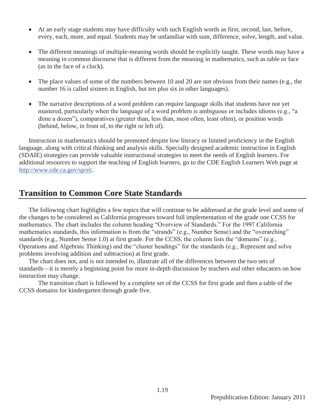- At an early stage students may have difficulty with such English words as first, second, last, before, every, each, more, and equal. Students may be unfamiliar with sum, difference, solve, length, and value.
- The different meanings of multiple-meaning words should be explicitly taught. These words may have a meaning in common discourse that is different from the meaning in mathematics, such as table or face (as in the face of a clock).
- The place values of some of the numbers between 10 and 20 are not obvious from their names (e.g., the number 16 is called sixteen in English, but ten plus six in other languages).
- The narrative descriptions of a word problem can require language skills that students have not yet mastered, particularly when the language of a word problem is ambiguous or includes idioms (e.g., "a dime a dozen"), comparatives (greater than, less than, most often, least often), or position words (behind, below, in front of, to the right or left of).

Instruction in mathematics should be promoted despite low literacy or limited proficiency in the English language, along with critical thinking and analysis skills. Specially designed academic instruction in English (SDAIE) strategies can provide valuable instructional strategies to meet the needs of English learners. For additional resources to support the teaching of English learners, go to the CDE English Learners Web page at http://www.cde.ca.gov/sp/el/.

# **Transition to Common Core State Standards**

The following chart highlights a few topics that will continue to be addressed at the grade level and some of the changes to be considered as California progresses toward full implementation of the grade one CCSS for mathematics. The chart includes the column heading "Overview of Standards." For the 1997 California mathematics standards, this information is from the "strands" (e.g., Number Sense) and the "overarching" standards (e.g., Number Sense 1.0) at first grade. For the CCSS, the column lists the "domains" (e.g., Operations and Algebraic Thinking) and the "cluster headings" for the standards (e.g., Represent and solve problems involving addition and subtraction) at first grade.

The chart does not, and is not intended to, illustrate all of the differences between the two sets of standards—it is merely a beginning point for more in-depth discussion by teachers and other educators on how instruction may change.

The transition chart is followed by a complete set of the CCSS for first grade and then a table of the CCSS domains for kindergarten through grade five.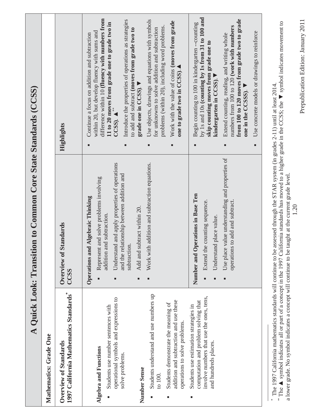| A Quick Look: Transiti                                                                                                                                                | ion to Common Core State Standards (CCSS)                                                                                                                                                                                                                                                                                                       |                                                                                                                                                                                                                                                                                                                                           |
|-----------------------------------------------------------------------------------------------------------------------------------------------------------------------|-------------------------------------------------------------------------------------------------------------------------------------------------------------------------------------------------------------------------------------------------------------------------------------------------------------------------------------------------|-------------------------------------------------------------------------------------------------------------------------------------------------------------------------------------------------------------------------------------------------------------------------------------------------------------------------------------------|
| Mathematics: Grade One                                                                                                                                                |                                                                                                                                                                                                                                                                                                                                                 |                                                                                                                                                                                                                                                                                                                                           |
| 1997 California Mathematics Standards*<br>Overview of Standards                                                                                                       | <b>Standards</b><br>Overview of<br>CCSS                                                                                                                                                                                                                                                                                                         | Highlights                                                                                                                                                                                                                                                                                                                                |
| operational symbols and expressions to<br>Students use number sentences with<br>Algebra and Functions<br>solve problems.                                              | Understand and apply properties of operations<br>and the relationship between addition and<br>Represent and solve problems involving<br><b>Operations and Algebraic Thinking</b><br>addition and subtraction.<br>subtraction.<br>٠                                                                                                              | difference within 10 (fluency with numbers from<br>Introduce the properties of operations as strategies<br>11 to 20 moves from grade one to grade two in<br>to add and subtract (moves from grade two to<br>within 20, but develop fluency with sums and<br>Continue a focus on addition and subtraction<br>$CCSS)$ . $\triangle$ **<br>п |
| Number Sense                                                                                                                                                          | subtract within 20.<br>Add and<br>ш                                                                                                                                                                                                                                                                                                             | grade one in CCSS).                                                                                                                                                                                                                                                                                                                       |
| Students understand and use numbers up<br>addition and subtraction and use these<br>Students demonstrate the meaning of<br>operations to solve problems<br>to $100$ . | Work with addition and subtraction equations.<br>п                                                                                                                                                                                                                                                                                              | Use objects, drawings and equations with symbols<br>Work with the value of coins (moves from grade<br>problems (within 20), including word problems.<br>for unknowns to solve addition and subtraction<br>one to grade two in CCSS).<br>٠<br>п                                                                                            |
| involve numbers that use the ones, tens,<br>computation and problem solving that<br>Students use estimation strategies in<br>and hundreds places.<br>٠                | Number and Operations in Base Ten<br>Extend the counting sequence.<br>Understand place value.                                                                                                                                                                                                                                                   | by 1s and 10s (counting by 1s from 31 to 100 and<br>Begin counting to 100 in kindergarten --counting<br>skip counting moves from grade one to<br>kindergarten in CCSS).<br>п                                                                                                                                                              |
|                                                                                                                                                                       | Use place value understanding and properties of<br>operations to add and subtract.                                                                                                                                                                                                                                                              | from 100 to 120 moves from grade two to grade<br>numbers from 100 to 120 (work with numbers<br>Extend counting, reading, and writing whole<br>one in the CCSSS).<br>п                                                                                                                                                                     |
|                                                                                                                                                                       |                                                                                                                                                                                                                                                                                                                                                 | Use concrete models or drawings to reinforce                                                                                                                                                                                                                                                                                              |
| The 1997 California mathematics standards will continue to be                                                                                                         | " The ▲ symbol indicates all or part of a concept in the 1997 California standards has moved to a higher grade in the CCSS; the ▼ symbol indicates movement to<br>assessed through the STAR system (in grades 2-11) until at least 2014.<br>a lower grade. No symbol indicates a concept will continue to be taught at the current grade level. |                                                                                                                                                                                                                                                                                                                                           |

Prepublication Edition: January 2011 Prepublication Edition: January 2011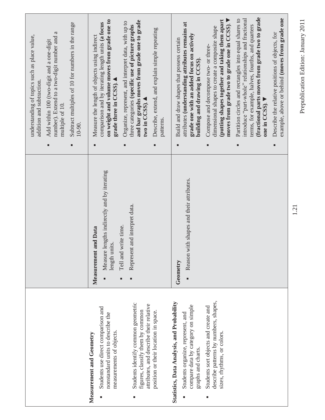|                                                                                                                                                                                                                                                                                              |                                                                                                                                                   | Subtract multiples of 10 for numbers in the range<br>number). Extend to a two-digit number and a<br>understanding of topics such as place value,<br>Add within 100 (two-digit and a one-digit<br>addition and subtraction.<br>multiple of 10.<br>$10-90.$<br>$\blacksquare$<br>٠                                                                                                                                                                                                                                                                                                                                                                                                                                                          |
|----------------------------------------------------------------------------------------------------------------------------------------------------------------------------------------------------------------------------------------------------------------------------------------------|---------------------------------------------------------------------------------------------------------------------------------------------------|-------------------------------------------------------------------------------------------------------------------------------------------------------------------------------------------------------------------------------------------------------------------------------------------------------------------------------------------------------------------------------------------------------------------------------------------------------------------------------------------------------------------------------------------------------------------------------------------------------------------------------------------------------------------------------------------------------------------------------------------|
| Students identify common geometric<br>attributes, and describe their relative<br>Students use direct comparison and<br>figures, classify them by common<br>position or their location in space.<br>nonstandard units to describe the<br>measurements of objects.<br>Measurement and Geometry | Measure lengths indirectly and by iterating<br>Represent and interpret data.<br>Tell and write time.<br>t and Data<br>length units<br>Measurement | on weight and volume moves from grade one to<br>and bar graphs moves from grade one to grade<br>Organize, represent, and interpret data, with up to<br>comparison and by iterating length units (a focus<br>three categories (specific use of picture graphs<br>Describe, extend, and explain simple repeating<br>Measure the length of objects using indirect<br>grade three in CCSS).<br>two in CCSS).<br>patterns.<br>٠<br>٠<br>٠                                                                                                                                                                                                                                                                                                      |
| describe patterns by numbers, shapes,<br>Statistics, Data Analysis, and Probability<br>compare data by category on simple<br>Students sort objects and create and<br>Students organize, represent, and<br>sizes, rhythms, or colors.<br>graphs and charts.<br>Е                              | with shapes and their attributes.<br>Reason<br>Geometry                                                                                           | (fractional parts moves from grade two to grade<br>example, above or behind (moves from grade one<br>introduce "part-whole" relationships and fractional<br>Partition circles and rectangles into equal shares to<br>moves from grade two to grade one in CCSS).<br>(putting shapes together and taking them apart<br>attributes (understanding attributes remains at<br>terms, for example, halves, fourths, and quarters<br>dimensional shapes to create a composite shape<br>Describe the relative positions of objects, for<br>grade one with an added focus on actively<br>Build and draw shapes that possess certain<br>Compose and decompose two- or three-<br>building and drawing in CCSS).<br>one in CCSS).<br>п<br>٠<br>п<br>٠ |
|                                                                                                                                                                                                                                                                                              | 1.21                                                                                                                                              | Prepublication Edition: January 2011                                                                                                                                                                                                                                                                                                                                                                                                                                                                                                                                                                                                                                                                                                      |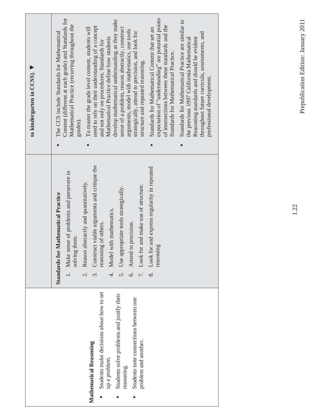|                                                                    |                                                                                              | to kindergarten in CCSS).                                                                                                                                                                                                  |
|--------------------------------------------------------------------|----------------------------------------------------------------------------------------------|----------------------------------------------------------------------------------------------------------------------------------------------------------------------------------------------------------------------------|
|                                                                    | <b>Standards for Mathematical Practice</b>                                                   | The CCS include Standards for Mathematical                                                                                                                                                                                 |
|                                                                    | 1. Make sense of problems and persevere in<br>solving them.                                  | Content (different at each grade) and Standards for<br>Mathematical Practice (recurring throughout the<br>grades).                                                                                                         |
|                                                                    | Reason abstractly and quantitatively.<br>$\overline{c}$                                      | To master the grade level content, students will                                                                                                                                                                           |
| Students make decisions about how to set<br>Mathematical Reasoning | Construct viable arguments and critique the<br>reasoning of others.<br>$\tilde{\mathcal{E}}$ | need to rely on their understanding of a concept<br>and not only on procedures. Standards for                                                                                                                              |
| up a problem.                                                      | 4. Model with mathematics.                                                                   | Mathematical Practice define how students                                                                                                                                                                                  |
| Students solve problems and justify their<br>reasoning.<br>п       | Use appropriate tools strategically.<br>5.                                                   | develop mathematical understanding as they make<br>sense of a problem, reason abstractly, construct                                                                                                                        |
| Students note connections between one<br>п                         | 6. Attend to precision.                                                                      | arguments, model with mathematics, use tools<br>strategically, attend to precision, and look for                                                                                                                           |
| problem and another.                                               | and make use of structure.<br>7. Look for                                                    | structure and repeated reasoning.                                                                                                                                                                                          |
|                                                                    | 8. Look for and express regularity in repeated<br>reasoning                                  | expectation of "understanding" are potential points<br>of intersections between these standards and the<br>Standards for Mathematical Content that set an<br>Standards for Mathematical Practice.                          |
|                                                                    |                                                                                              | Standards for Mathematical Practice are similar to<br>throughout future curricula, assessments, and<br>Reasoning standards and should be evident<br>the previous 1997 California Mathematical<br>professional development. |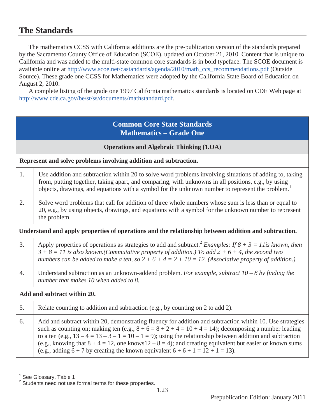# **The Standards**

The mathematics CCSS with California additions are the pre-publication version of the standards prepared by the Sacramento County Office of Education (SCOE), updated on October 21, 2010. Content that is unique to California and was added to the multi-state common core standards is in bold typeface. The SCOE document is available online at http://www.scoe.net/castandards/agenda/2010/math\_ccs\_recommendations.pdf (Outside Source). These grade one CCSS for Mathematics were adopted by the California State Board of Education on August 2, 2010.

A complete listing of the grade one 1997 California mathematics standards is located on CDE Web page at http://www.cde.ca.gov/be/st/ss/documents/mathstandard.pdf.

#### **Common Core State Standards Mathematics – Grade One**

| <b>Operations and Algebraic Thinking (1.OA)</b>                                                      |                                                                                                                                                                                                                                                                                                                                         |  |  |  |  |  |
|------------------------------------------------------------------------------------------------------|-----------------------------------------------------------------------------------------------------------------------------------------------------------------------------------------------------------------------------------------------------------------------------------------------------------------------------------------|--|--|--|--|--|
| Represent and solve problems involving addition and subtraction.                                     |                                                                                                                                                                                                                                                                                                                                         |  |  |  |  |  |
| 1.                                                                                                   | Use addition and subtraction within 20 to solve word problems involving situations of adding to, taking<br>from, putting together, taking apart, and comparing, with unknowns in all positions, e.g., by using<br>objects, drawings, and equations with a symbol for the unknown number to represent the problem. <sup>1</sup>          |  |  |  |  |  |
| 2.                                                                                                   | Solve word problems that call for addition of three whole numbers whose sum is less than or equal to<br>20, e.g., by using objects, drawings, and equations with a symbol for the unknown number to represent<br>the problem.                                                                                                           |  |  |  |  |  |
| Understand and apply properties of operations and the relationship between addition and subtraction. |                                                                                                                                                                                                                                                                                                                                         |  |  |  |  |  |
| 3.                                                                                                   | Apply properties of operations as strategies to add and subtract. <sup>2</sup> Examples: If $8 + 3 = 11$ is known, then<br>$3 + 8 = 11$ is also known.(Commutative property of addition.) To add $2 + 6 + 4$ , the second two<br>numbers can be added to make a ten, so $2 + 6 + 4 = 2 + 10 = 12$ . (Associative property of addition.) |  |  |  |  |  |
| 4.                                                                                                   | Understand subtraction as an unknown-addend problem. For example, subtract $10 - 8$ by finding the<br>number that makes 10 when added to 8.                                                                                                                                                                                             |  |  |  |  |  |
| Add and subtract within 20.                                                                          |                                                                                                                                                                                                                                                                                                                                         |  |  |  |  |  |
| 5.                                                                                                   | Relate counting to addition and subtraction (e.g., by counting on 2 to add 2).                                                                                                                                                                                                                                                          |  |  |  |  |  |
| 6.                                                                                                   | Add and subtract within 20, demonstrating fluency for addition and subtraction within 10. Use strategies<br>such as counting on; making ten (e.g., $8 + 6 = 8 + 2 + 4 = 10 + 4 = 14$ ); decomposing a number leading<br>to a ten (e.g., $13-4=13-3-1=10-1=9$ ); using the relationship between addition and subtraction                 |  |  |  |  |  |

(e.g., knowing that  $8 + 4 = 12$ , one knows  $12 - 8 = 4$ ); and creating equivalent but easier or known sums (e.g., adding  $6 + 7$  by creating the known equivalent  $6 + 6 + 1 = 12 + 1 = 13$ ).

<sup>&</sup>lt;u>nd</u><br><sup>1</sup> See Glossary, Table 1

<sup>&</sup>lt;sup>2</sup> Students need not use formal terms for these properties.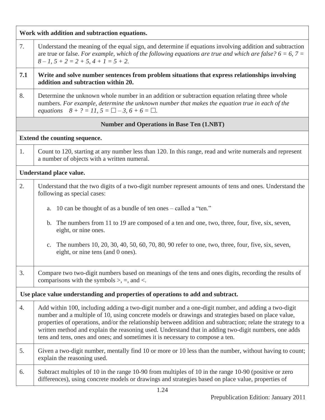| Work with addition and subtraction equations.    |                                                                                                                                                                                                                                                                                                                                                                                                                                                                                                                    |  |  |  |  |  |
|--------------------------------------------------|--------------------------------------------------------------------------------------------------------------------------------------------------------------------------------------------------------------------------------------------------------------------------------------------------------------------------------------------------------------------------------------------------------------------------------------------------------------------------------------------------------------------|--|--|--|--|--|
| 7.                                               | Understand the meaning of the equal sign, and determine if equations involving addition and subtraction<br>are true or false. For example, which of the following equations are true and which are false? $6 = 6, 7 = 1$<br>$8 - 1$ , $5 + 2 = 2 + 5$ , $4 + 1 = 5 + 2$ .                                                                                                                                                                                                                                          |  |  |  |  |  |
| 7.1                                              | Write and solve number sentences from problem situations that express relationships involving<br>addition and subtraction within 20.                                                                                                                                                                                                                                                                                                                                                                               |  |  |  |  |  |
| 8.                                               | Determine the unknown whole number in an addition or subtraction equation relating three whole<br>numbers. For example, determine the unknown number that makes the equation true in each of the<br>equations $8 + ? = 11$ , $5 = \square - 3$ , $6 + 6 = \square$ .                                                                                                                                                                                                                                               |  |  |  |  |  |
| <b>Number and Operations in Base Ten (1.NBT)</b> |                                                                                                                                                                                                                                                                                                                                                                                                                                                                                                                    |  |  |  |  |  |
| Extend the counting sequence.                    |                                                                                                                                                                                                                                                                                                                                                                                                                                                                                                                    |  |  |  |  |  |
| 1.                                               | Count to 120, starting at any number less than 120. In this range, read and write numerals and represent<br>a number of objects with a written numeral.                                                                                                                                                                                                                                                                                                                                                            |  |  |  |  |  |
|                                                  | Understand place value.                                                                                                                                                                                                                                                                                                                                                                                                                                                                                            |  |  |  |  |  |
| 2.                                               | Understand that the two digits of a two-digit number represent amounts of tens and ones. Understand the<br>following as special cases:                                                                                                                                                                                                                                                                                                                                                                             |  |  |  |  |  |
|                                                  | 10 can be thought of as a bundle of ten ones – called a "ten."<br>a.                                                                                                                                                                                                                                                                                                                                                                                                                                               |  |  |  |  |  |
|                                                  | b. The numbers from 11 to 19 are composed of a ten and one, two, three, four, five, six, seven,<br>eight, or nine ones.                                                                                                                                                                                                                                                                                                                                                                                            |  |  |  |  |  |
|                                                  | The numbers 10, 20, 30, 40, 50, 60, 70, 80, 90 refer to one, two, three, four, five, six, seven,<br>$C_{\bullet}$<br>eight, or nine tens (and 0 ones).                                                                                                                                                                                                                                                                                                                                                             |  |  |  |  |  |
| 3.                                               | Compare two two-digit numbers based on meanings of the tens and ones digits, recording the results of<br>comparisons with the symbols $\ge$ , =, and <.                                                                                                                                                                                                                                                                                                                                                            |  |  |  |  |  |
|                                                  | Use place value understanding and properties of operations to add and subtract.                                                                                                                                                                                                                                                                                                                                                                                                                                    |  |  |  |  |  |
| 4.                                               | Add within 100, including adding a two-digit number and a one-digit number, and adding a two-digit<br>number and a multiple of 10, using concrete models or drawings and strategies based on place value,<br>properties of operations, and/or the relationship between addition and subtraction; relate the strategy to a<br>written method and explain the reasoning used. Understand that in adding two-digit numbers, one adds<br>tens and tens, ones and ones; and sometimes it is necessary to compose a ten. |  |  |  |  |  |
| 5.                                               | Given a two-digit number, mentally find 10 or more or 10 less than the number, without having to count;<br>explain the reasoning used.                                                                                                                                                                                                                                                                                                                                                                             |  |  |  |  |  |
| 6.                                               | Subtract multiples of 10 in the range 10-90 from multiples of 10 in the range 10-90 (positive or zero<br>differences), using concrete models or drawings and strategies based on place value, properties of                                                                                                                                                                                                                                                                                                        |  |  |  |  |  |
|                                                  |                                                                                                                                                                                                                                                                                                                                                                                                                                                                                                                    |  |  |  |  |  |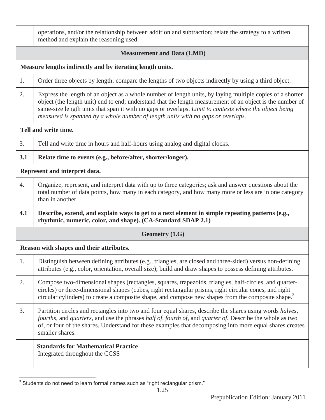|                                                           | operations, and/or the relationship between addition and subtraction; relate the strategy to a written<br>method and explain the reasoning used.                                                                                                                                                                                                                                                                    |  |  |  |  |  |
|-----------------------------------------------------------|---------------------------------------------------------------------------------------------------------------------------------------------------------------------------------------------------------------------------------------------------------------------------------------------------------------------------------------------------------------------------------------------------------------------|--|--|--|--|--|
| <b>Measurement and Data (1.MD)</b>                        |                                                                                                                                                                                                                                                                                                                                                                                                                     |  |  |  |  |  |
| Measure lengths indirectly and by iterating length units. |                                                                                                                                                                                                                                                                                                                                                                                                                     |  |  |  |  |  |
| 1.                                                        | Order three objects by length; compare the lengths of two objects indirectly by using a third object.                                                                                                                                                                                                                                                                                                               |  |  |  |  |  |
| 2.                                                        | Express the length of an object as a whole number of length units, by laying multiple copies of a shorter<br>object (the length unit) end to end; understand that the length measurement of an object is the number of<br>same-size length units that span it with no gaps or overlaps. Limit to contexts where the object being<br>measured is spanned by a whole number of length units with no gaps or overlaps. |  |  |  |  |  |
| Tell and write time.                                      |                                                                                                                                                                                                                                                                                                                                                                                                                     |  |  |  |  |  |
| 3.                                                        | Tell and write time in hours and half-hours using analog and digital clocks.                                                                                                                                                                                                                                                                                                                                        |  |  |  |  |  |
| 3.1                                                       | Relate time to events (e.g., before/after, shorter/longer).                                                                                                                                                                                                                                                                                                                                                         |  |  |  |  |  |
|                                                           | Represent and interpret data.                                                                                                                                                                                                                                                                                                                                                                                       |  |  |  |  |  |
| 4.                                                        | Organize, represent, and interpret data with up to three categories; ask and answer questions about the<br>total number of data points, how many in each category, and how many more or less are in one category<br>than in another.                                                                                                                                                                                |  |  |  |  |  |
| 4.1                                                       | Describe, extend, and explain ways to get to a next element in simple repeating patterns (e.g.,<br>rhythmic, numeric, color, and shape). (CA-Standard SDAP 2.1)                                                                                                                                                                                                                                                     |  |  |  |  |  |
|                                                           | <b>Geometry (1.G)</b>                                                                                                                                                                                                                                                                                                                                                                                               |  |  |  |  |  |
|                                                           | Reason with shapes and their attributes.                                                                                                                                                                                                                                                                                                                                                                            |  |  |  |  |  |
| 1.                                                        | Distinguish between defining attributes (e.g., triangles, are closed and three-sided) versus non-defining<br>attributes (e.g., color, orientation, overall size); build and draw shapes to possess defining attributes.                                                                                                                                                                                             |  |  |  |  |  |
| 2.                                                        | Compose two-dimensional shapes (rectangles, squares, trapezoids, triangles, half-circles, and quarter-<br>circles) or three-dimensional shapes (cubes, right rectangular prisms, right circular cones, and right<br>circular cylinders) to create a composite shape, and compose new shapes from the composite shape. <sup>3</sup>                                                                                  |  |  |  |  |  |
| 3.                                                        | Partition circles and rectangles into two and four equal shares, describe the shares using words halves,<br>fourths, and quarters, and use the phrases half of, fourth of, and quarter of. Describe the whole as two<br>of, or four of the shares. Understand for these examples that decomposing into more equal shares creates<br>smaller shares.                                                                 |  |  |  |  |  |
|                                                           | <b>Standards for Mathematical Practice</b><br>Integrated throughout the CCSS                                                                                                                                                                                                                                                                                                                                        |  |  |  |  |  |

 $\overline{a}$  $3$  Students do not need to learn formal names such as "right rectangular prism."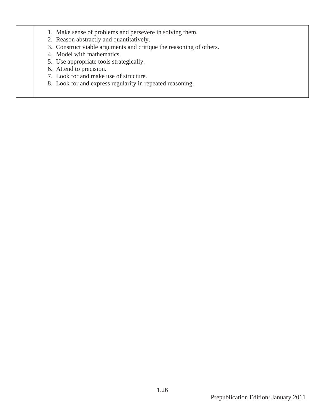- 1. Make sense of problems and persevere in solving them.
- 2. Reason abstractly and quantitatively.
- 3. Construct viable arguments and critique the reasoning of others.
- 4. Model with mathematics.
- 5. Use appropriate tools strategically.
- 6. Attend to precision.
- 7. Look for and make use of structure.
- 8. Look for and express regularity in repeated reasoning.